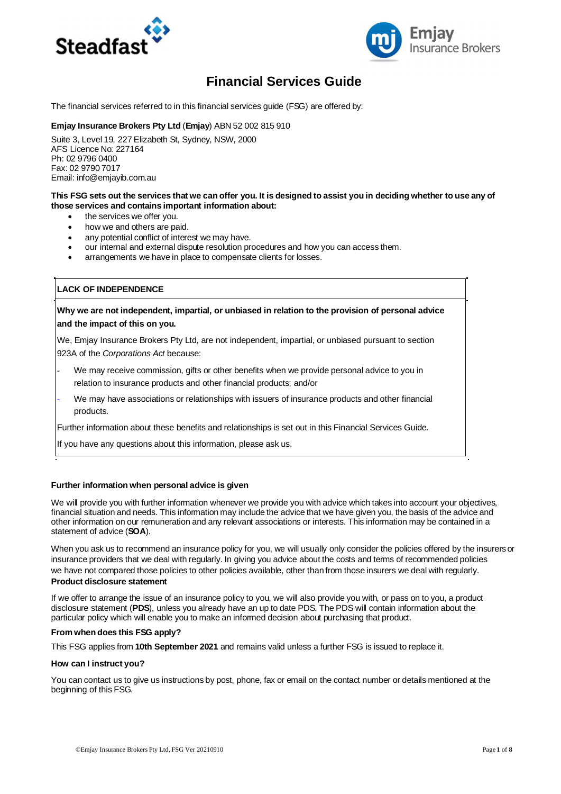



# **Financial Services Guide**

The financial services referred to in this financial services guide (FSG) are offered by:

#### **Emjay Insurance Brokers Pty Ltd** (**Emjay**) ABN 52 002 815 910

Suite 3, Level 19, 227 Elizabeth St, Sydney, NSW, 2000 AFS Licence No: 227164 Ph: 02 9796 0400 Fax: 02 9790 7017 Email: info@emjayib.com.au

#### **This FSG sets out the services that we can offer you. It is designed to assist you in deciding whether to use any of those services and contains important information about:**

- the services we offer you.
- how we and others are paid.
- any potential conflict of interest we may have.
- our internal and external dispute resolution procedures and how you can access them.
- arrangements we have in place to compensate clients for losses.

#### **LACK OF INDEPENDENCE**

### **Why we are not independent, impartial, or unbiased in relation to the provision of personal advice and the impact of this on you.**

We, Emjay Insurance Brokers Pty Ltd, are not independent, impartial, or unbiased pursuant to section 923A of the *Corporations Act* because:

- We may receive commission, gifts or other benefits when we provide personal advice to you in relation to insurance products and other financial products; and/or
- We may have associations or relationships with issuers of insurance products and other financial products.

Further information about these benefits and relationships is set out in this Financial Services Guide.

If you have any questions about this information, please ask us.

#### **Further information when personal advice is given**

We will provide you with further information whenever we provide you with advice which takes into account your objectives, financial situation and needs. This information may include the advice that we have given you, the basis of the advice and other information on our remuneration and any relevant associations or interests. This information may be contained in a statement of advice (**SOA**).

When you ask us to recommend an insurance policy for you, we will usually only consider the policies offered by the insurers or insurance providers that we deal with regularly. In giving you advice about the costs and terms of recommended policies we have not compared those policies to other policies available, other than from those insurers we deal with regularly. **Product disclosure statement**

If we offer to arrange the issue of an insurance policy to you, we will also provide you with, or pass on to you, a product disclosure statement (**PDS**), unless you already have an up to date PDS. The PDS will contain information about the particular policy which will enable you to make an informed decision about purchasing that product.

#### **From when does this FSG apply?**

This FSG applies from **10th September 2021** and remains valid unless a further FSG is issued to replace it.

#### **How can I instruct you?**

You can contact us to give us instructions by post, phone, fax or email on the contact number or details mentioned at the beginning of this FSG.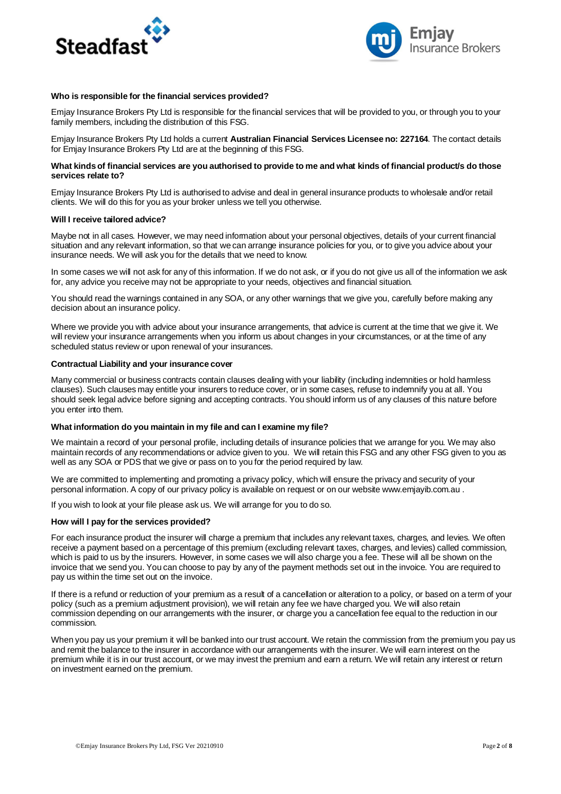



#### **Who is responsible for the financial services provided?**

Emjay Insurance Brokers Pty Ltd is responsible for the financial services that will be provided to you, or through you to your family members, including the distribution of this FSG.

Emjay Insurance Brokers Pty Ltd holds a current **Australian Financial Services Licensee no: 227164**. The contact details for Emjay Insurance Brokers Pty Ltd are at the beginning of this FSG.

#### **What kinds of financial services are you authorised to provide to me and what kinds of financial product/s do those services relate to?**

Emjay Insurance Brokers Pty Ltd is authorised to advise and deal in general insurance products to wholesale and/or retail clients. We will do this for you as your broker unless we tell you otherwise.

#### **Will I receive tailored advice?**

Maybe not in all cases. However, we may need information about your personal objectives, details of your current financial situation and any relevant information, so that we can arrange insurance policies for you, or to give you advice about your insurance needs. We will ask you for the details that we need to know.

In some cases we will not ask for any of this information. If we do not ask, or if you do not give us all of the information we ask for, any advice you receive may not be appropriate to your needs, objectives and financial situation.

You should read the warnings contained in any SOA, or any other warnings that we give you, carefully before making any decision about an insurance policy.

Where we provide you with advice about your insurance arrangements, that advice is current at the time that we give it. We will review your insurance arrangements when you inform us about changes in your circumstances, or at the time of any scheduled status review or upon renewal of your insurances.

#### **Contractual Liability and your insurance cover**

Many commercial or business contracts contain clauses dealing with your liability (including indemnities or hold harmless clauses). Such clauses may entitle your insurers to reduce cover, or in some cases, refuse to indemnify you at all. You should seek legal advice before signing and accepting contracts. You should inform us of any clauses of this nature before you enter into them.

#### **What information do you maintain in my file and can I examine my file?**

We maintain a record of your personal profile, including details of insurance policies that we arrange for you. We may also maintain records of any recommendations or advice given to you. We will retain this FSG and any other FSG given to you as well as any SOA or PDS that we give or pass on to you for the period required by law.

We are committed to implementing and promoting a privacy policy, which will ensure the privacy and security of your personal information. A copy of our privacy policy is available on request or on our website www.emjayib.com.au .

If you wish to look at your file please ask us. We will arrange for you to do so.

#### **How will I pay for the services provided?**

For each insurance product the insurer will charge a premium that includes any relevant taxes, charges, and levies. We often receive a payment based on a percentage of this premium (excluding relevant taxes, charges, and levies) called commission, which is paid to us by the insurers. However, in some cases we will also charge you a fee. These will all be shown on the invoice that we send you. You can choose to pay by any of the payment methods set out in the invoice. You are required to pay us within the time set out on the invoice.

If there is a refund or reduction of your premium as a result of a cancellation or alteration to a policy, or based on a term of your policy (such as a premium adjustment provision), we will retain any fee we have charged you. We will also retain commission depending on our arrangements with the insurer, or charge you a cancellation fee equal to the reduction in our commission.

When you pay us your premium it will be banked into our trust account. We retain the commission from the premium you pay us and remit the balance to the insurer in accordance with our arrangements with the insurer. We will earn interest on the premium while it is in our trust account, or we may invest the premium and earn a return. We will retain any interest or return on investment earned on the premium.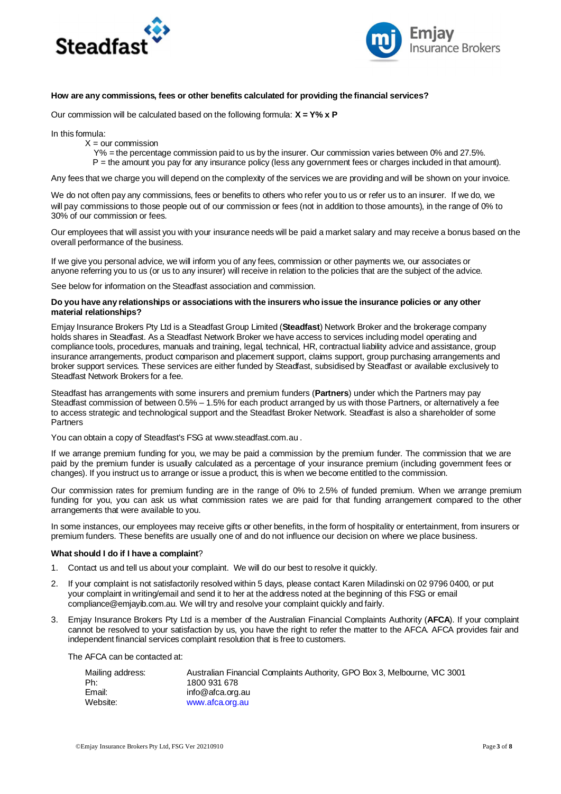



#### **How are any commissions, fees or other benefits calculated for providing the financial services?**

Our commission will be calculated based on the following formula: **X = Y% x P**

In this formula:

- $X =$  our commission
	- Y% = the percentage commission paid to us by the insurer. Our commission varies between 0% and 27.5%.
	- P = the amount you pay for any insurance policy (less any government fees or charges included in that amount).

Any fees that we charge you will depend on the complexity of the services we are providing and will be shown on your invoice.

We do not often pay any commissions, fees or benefits to others who refer you to us or refer us to an insurer. If we do, we will pay commissions to those people out of our commission or fees (not in addition to those amounts), in the range of 0% to 30% of our commission or fees.

Our employees that will assist you with your insurance needs will be paid a market salary and may receive a bonus based on the overall performance of the business.

If we give you personal advice, we will inform you of any fees, commission or other payments we, our associates or anyone referring you to us (or us to any insurer) will receive in relation to the policies that are the subject of the advice.

See below for information on the Steadfast association and commission.

#### **Do you have any relationships or associations with the insurers who issue the insurance policies or any other material relationships?**

Emjay Insurance Brokers Pty Ltd is a Steadfast Group Limited (**Steadfast**) Network Broker and the brokerage company holds shares in Steadfast. As a Steadfast Network Broker we have access to services including model operating and compliance tools, procedures, manuals and training, legal, technical, HR, contractual liability advice and assistance, group insurance arrangements, product comparison and placement support, claims support, group purchasing arrangements and broker support services. These services are either funded by Steadfast, subsidised by Steadfast or available exclusively to Steadfast Network Brokers for a fee.

Steadfast has arrangements with some insurers and premium funders (**Partners**) under which the Partners may pay Steadfast commission of between 0.5% – 1.5% for each product arranged by us with those Partners, or alternatively a fee to access strategic and technological support and the Steadfast Broker Network. Steadfast is also a shareholder of some Partners

You can obtain a copy of Steadfast's FSG at www.steadfast.com.au .

If we arrange premium funding for you, we may be paid a commission by the premium funder. The commission that we are paid by the premium funder is usually calculated as a percentage of your insurance premium (including government fees or changes). If you instruct us to arrange or issue a product, this is when we become entitled to the commission.

Our commission rates for premium funding are in the range of 0% to 2.5% of funded premium. When we arrange premium funding for you, you can ask us what commission rates we are paid for that funding arrangement compared to the other arrangements that were available to you.

In some instances, our employees may receive gifts or other benefits, in the form of hospitality or entertainment, from insurers or premium funders. These benefits are usually one of and do not influence our decision on where we place business.

#### **What should I do if I have a complaint**?

- 1. Contact us and tell us about your complaint. We will do our best to resolve it quickly.
- 2. If your complaint is not satisfactorily resolved within 5 days, please contact Karen Miladinski on 02 9796 0400, or put your complaint in writing/email and send it to her at the address noted at the beginning of this FSG or email compliance@emjayib.com.au. We will try and resolve your complaint quickly and fairly.
- 3. Emjay Insurance Brokers Pty Ltd is a member of the Australian Financial Complaints Authority (**AFCA**). If your complaint cannot be resolved to your satisfaction by us, you have the right to refer the matter to the AFCA. AFCA provides fair and independent financial services complaint resolution that is free to customers.

The AFCA can be contacted at:

| Mailing address: | Australian Financial Complaints Authority, GPO Box 3, Melbourne, VIC 3001 |
|------------------|---------------------------------------------------------------------------|
| Ph:              | 1800 931 678                                                              |
| Email:           | info@afca.org.au                                                          |
| Website:         | www.afca.org.au                                                           |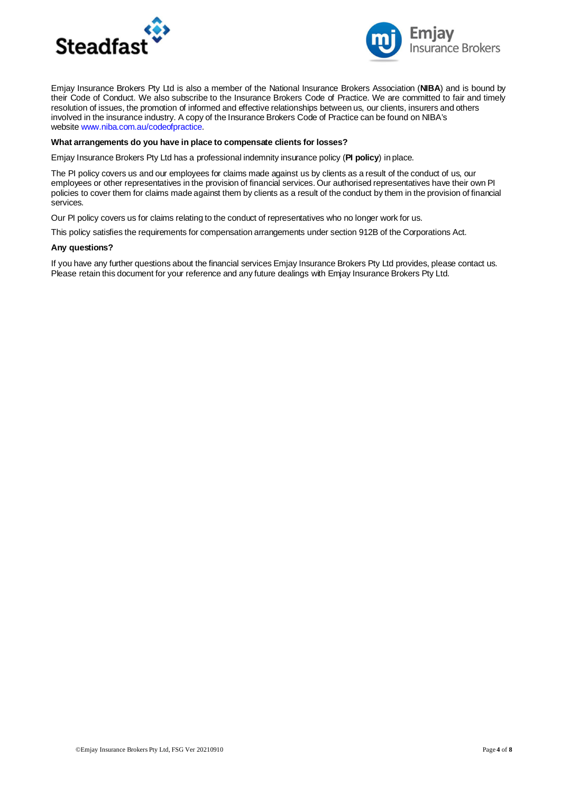



Emjay Insurance Brokers Pty Ltd is also a member of the National Insurance Brokers Association (**NIBA**) and is bound by their Code of Conduct. We also subscribe to the Insurance Brokers Code of Practice. We are committed to fair and timely resolution of issues, the promotion of informed and effective relationships between us, our clients, insurers and others involved in the insurance industry. A copy of the Insurance Brokers Code of Practice can be found on NIBA's website www.niba.com.au/codeofpractice.

#### **What arrangements do you have in place to compensate clients for losses?**

Emjay Insurance Brokers Pty Ltd has a professional indemnity insurance policy (**PI policy**) in place.

The PI policy covers us and our employees for claims made against us by clients as a result of the conduct of us, our employees or other representatives in the provision of financial services. Our authorised representatives have their own PI policies to cover them for claims made against them by clients as a result of the conduct by them in the provision of financial services.

Our PI policy covers us for claims relating to the conduct of representatives who no longer work for us.

This policy satisfies the requirements for compensation arrangements under section 912B of the Corporations Act.

#### **Any questions?**

If you have any further questions about the financial services Emjay Insurance Brokers Pty Ltd provides, please contact us. Please retain this document for your reference and any future dealings with Emjay Insurance Brokers Pty Ltd.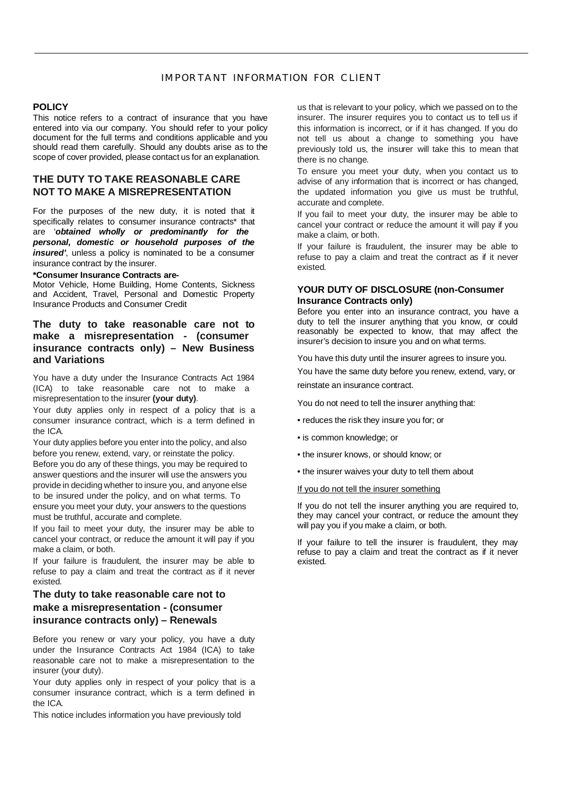# IMPORTANT INFORMATION FOR CLIENT

#### **POLICY**

This notice refers to a contract of insurance that you have entered into via our company. You should refer to your policy document for the full terms and conditions applicable and you should read them carefully. Should any doubts arise as to the scope of cover provided, please contact us for an explanation.

# **THE DUTY TO TAKE REASONABLE CARE NOT TO MAKE A MISREPRESENTATION**

For the purposes of the new duty, it is noted that it specifically relates to consumer insurance contracts\* that are '*obtained wholly or predominantly for the personal, domestic or household purposes of the insured'*, unless a policy is nominated to be a consumer insurance contract by the insurer.

#### **\*Consumer Insurance Contracts are-**

Motor Vehicle, Home Building, Home Contents, Sickness and Accident, Travel, Personal and Domestic Property Insurance Products and Consumer Credit

# **The duty to take reasonable care not to make a misrepresentation - (consumer insurance contracts only) – New Business and Variations**

You have a duty under the Insurance Contracts Act 1984 (ICA) to take reasonable care not to make a misrepresentation to the insurer **(your duty)**.

Your duty applies only in respect of a policy that is a consumer insurance contract, which is a term defined in the ICA.

Your duty applies before you enter into the policy, and also before you renew, extend, vary, or reinstate the policy. Before you do any of these things, you may be required to answer questions and the insurer will use the answers you provide in deciding whether to insure you, and anyone else to be insured under the policy, and on what terms. To ensure you meet your duty, your answers to the questions must be truthful, accurate and complete.

If you fail to meet your duty, the insurer may be able to cancel your contract, or reduce the amount it will pay if you make a claim, or both.

If your failure is fraudulent, the insurer may be able to refuse to pay a claim and treat the contract as if it never existed.

# **The duty to take reasonable care not to make a misrepresentation - (consumer insurance contracts only) – Renewals**

Before you renew or vary your policy, you have a duty under the Insurance Contracts Act 1984 (ICA) to take reasonable care not to make a misrepresentation to the insurer (your duty).

Your duty applies only in respect of your policy that is a consumer insurance contract, which is a term defined in the ICA.

This notice includes information you have previously told

us that is relevant to your policy, which we passed on to the insurer. The insurer requires you to contact us to tell us if this information is incorrect, or if it has changed. If you do not tell us about a change to something you have previously told us, the insurer will take this to mean that there is no change.

To ensure you meet your duty, when you contact us to advise of any information that is incorrect or has changed, the updated information you give us must be truthful, accurate and complete.

If you fail to meet your duty, the insurer may be able to cancel your contract or reduce the amount it will pay if you make a claim, or both.

If your failure is fraudulent, the insurer may be able to refuse to pay a claim and treat the contract as if it never existed.

### **YOUR DUTY OF DISCLOSURE (non-Consumer Insurance Contracts only)**

Before you enter into an insurance contract, you have a duty to tell the insurer anything that you know, or could reasonably be expected to know, that may affect the insurer's decision to insure you and on what terms.

You have this duty until the insurer agrees to insure you.

You have the same duty before you renew, extend, vary, or reinstate an insurance contract.

You do not need to tell the insurer anything that:

- reduces the risk they insure you for; or
- is common knowledge; or
- the insurer knows, or should know; or
- the insurer waives your duty to tell them about

#### If you do not tell the insurer something

If you do not tell the insurer anything you are required to, they may cancel your contract, or reduce the amount they will pay you if you make a claim, or both.

If your failure to tell the insurer is fraudulent, they may refuse to pay a claim and treat the contract as if it never existed.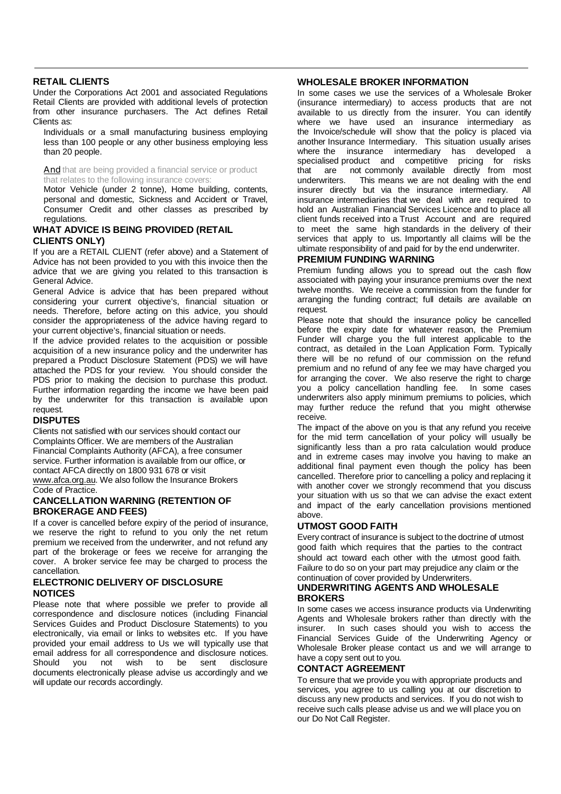### **RETAIL CLIENTS**

Under the Corporations Act 2001 and associated Regulations Retail Clients are provided with additional levels of protection from other insurance purchasers. The Act defines Retail Clients as:

Individuals or a small manufacturing business employing less than 100 people or any other business employing less than 20 people.

And that are being provided a financial service or product that relates to the following insurance covers:

Motor Vehicle (under 2 tonne), Home building, contents, personal and domestic, Sickness and Accident or Travel, Consumer Credit and other classes as prescribed by regulations.

# **WHAT ADVICE IS BEING PROVIDED (RETAIL CLIENTS ONLY)**

If you are a RETAIL CLIENT (refer above) and a Statement of Advice has not been provided to you with this invoice then the advice that we are giving you related to this transaction is General Advice.

General Advice is advice that has been prepared without considering your current objective's, financial situation or needs. Therefore, before acting on this advice, you should consider the appropriateness of the advice having regard to your current objective's, financial situation or needs.

If the advice provided relates to the acquisition or possible acquisition of a new insurance policy and the underwriter has prepared a Product Disclosure Statement (PDS) we will have attached the PDS for your review. You should consider the PDS prior to making the decision to purchase this product. Further information regarding the income we have been paid by the underwriter for this transaction is available upon request.

### **DISPUTES**

Clients not satisfied with our services should contact our Complaints Officer. We are members of the Australian Financial Complaints Authority (AFCA), a free consumer service. Further information is available from our office, or contact AFCA directly on 1800 931 678 or visit www.afca.org.au. We also follow the Insurance Brokers

Code of Practice.

### **CANCELLATION WARNING (RETENTION OF BROKERAGE AND FEES)**

If a cover is cancelled before expiry of the period of insurance, we reserve the right to refund to you only the net return premium we received from the underwriter, and not refund any part of the brokerage or fees we receive for arranging the cover. A broker service fee may be charged to process the cancellation.

### **ELECTRONIC DELIVERY OF DISCLOSURE NOTICES**

Please note that where possible we prefer to provide all correspondence and disclosure notices (including Financial Services Guides and Product Disclosure Statements) to you electronically, via email or links to websites etc. If you have provided your email address to Us we will typically use that email address for all correspondence and disclosure notices.<br>Should you not wish to be sent disclosure Should you not wish to be sent disclosure documents electronically please advise us accordingly and we will update our records accordingly.

### **WHOLESALE BROKER INFORMATION**

In some cases we use the services of a Wholesale Broker (insurance intermediary) to access products that are not available to us directly from the insurer. You can identify where we have used an insurance intermediary as the Invoice/schedule will show that the policy is placed via another Insurance Intermediary. This situation usually arises where the insurance intermediary has developed a specialised product and competitive pricing for risks<br>that are not commonly available directly from most that are not commonly available directly from most underwriters. This means we are not dealing with the end insurer directly but via the insurance intermediary. All insurance intermediaries that we deal with are required to hold an Australian Financial Services Licence and to place all client funds received into a Trust Account and are required to meet the same high standards in the delivery of their services that apply to us. Importantly all claims will be the ultimate responsibility of and paid for by the end underwriter.

## **PREMIUM FUNDING WARNING**

Premium funding allows you to spread out the cash flow associated with paying your insurance premiums over the next twelve months. We receive a commission from the funder for arranging the funding contract; full details are available on request

Please note that should the insurance policy be cancelled before the expiry date for whatever reason, the Premium Funder will charge you the full interest applicable to the contract, as detailed in the Loan Application Form. Typically there will be no refund of our commission on the refund premium and no refund of any fee we may have charged you for arranging the cover. We also reserve the right to charge you a policy cancellation handling fee. In some cases underwriters also apply minimum premiums to policies, which may further reduce the refund that you might otherwise receive.

The impact of the above on you is that any refund you receive for the mid term cancellation of your policy will usually be significantly less than a pro rata calculation would produce and in extreme cases may involve you having to make an additional final payment even though the policy has been cancelled. Therefore prior to cancelling a policy and replacing it with another cover we strongly recommend that you discuss your situation with us so that we can advise the exact extent and impact of the early cancellation provisions mentioned above.

# **UTMOST GOOD FAITH**

Every contract of insurance is subject to the doctrine of utmost good faith which requires that the parties to the contract should act toward each other with the utmost good faith. Failure to do so on your part may prejudice any claim or the continuation of cover provided by Underwriters.

# **UNDERWRITING AGENTS AND WHOLESALE BROKERS**

In some cases we access insurance products via Underwriting Agents and Wholesale brokers rather than directly with the insurer. In such cases should you wish to access the Financial Services Guide of the Underwriting Agency or Wholesale Broker please contact us and we will arrange to have a copy sent out to you.

### **CONTACT AGREEMENT**

To ensure that we provide you with appropriate products and services, you agree to us calling you at our discretion to discuss any new products and services. If you do not wish to receive such calls please advise us and we will place you on our Do Not Call Register.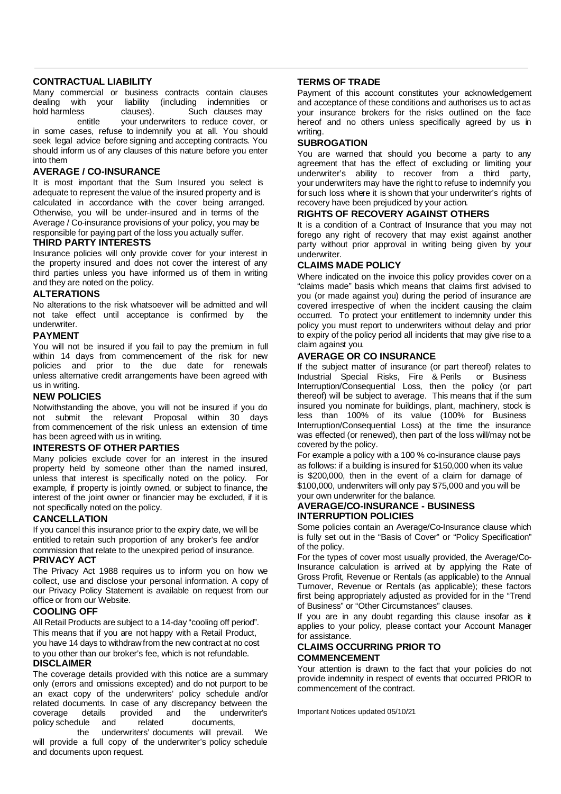### **CONTRACTUAL LIABILITY**

Many commercial or business contracts contain clauses dealing with your liability (including indemnities or<br>hold-harmless clauses). Such clauses-may Such clauses may entitle your underwriters to reduce cover, or in some cases, refuse to indemnify you at all. You should seek legal advice before signing and accepting contracts. You

should inform us of any clauses of this nature before you enter into them

## **AVERAGE / CO-INSURANCE**

It is most important that the Sum Insured you select is adequate to represent the value of the insured property and is calculated in accordance with the cover being arranged. Otherwise, you will be under-insured and in terms of the Average / Co-insurance provisions of your policy, you may be responsible for paying part of the loss you actually suffer.

### **THIRD PARTY INTERESTS**

Insurance policies will only provide cover for your interest in the property insured and does not cover the interest of any third parties unless you have informed us of them in writing and they are noted on the policy.

#### **ALTERATIONS**

No alterations to the risk whatsoever will be admitted and will not take effect until acceptance is confirmed by the underwriter.

### **PAYMENT**

You will not be insured if you fail to pay the premium in full within 14 days from commencement of the risk for new policies and prior to the due date for renewals unless alternative credit arrangements have been agreed with us in writing.

#### **NEW POLICIES**

Notwithstanding the above, you will not be insured if you do not submit the relevant Proposal within 30 days from commencement of the risk unless an extension of time has been agreed with us in writing.

### **INTERESTS OF OTHER PARTIES**

Many policies exclude cover for an interest in the insured property held by someone other than the named insured, unless that interest is specifically noted on the policy. For example, if property is jointly owned, or subject to finance, the interest of the joint owner or financier may be excluded, if it is not specifically noted on the policy.

### **CANCELLATION**

If you cancel this insurance prior to the expiry date, we will be entitled to retain such proportion of any broker's fee and/or commission that relate to the unexpired period of insurance.

### **PRIVACY ACT**

The Privacy Act 1988 requires us to inform you on how we collect, use and disclose your personal information. A copy of our Privacy Policy Statement is available on request from our office or from our Website.

### **COOLING OFF**

All Retail Products are subject to a 14-day "cooling off period". This means that if you are not happy with a Retail Product, you have 14 days to withdraw from the new contract at no cost to you other than our broker's fee, which is not refundable. **DISCLAIMER**

The coverage details provided with this notice are a summary only (errors and omissions excepted) and do not purport to be an exact copy of the underwriters' policy schedule and/or related documents. In case of any discrepancy between the coverage details provided and the underwriter's policy schedule and related documents,

the underwriters' documents will prevail. We will provide a full copy of the underwriter's policy schedule and documents upon request.

# **TERMS OF TRADE**

Payment of this account constitutes your acknowledgement and acceptance of these conditions and authorises us to act as your insurance brokers for the risks outlined on the face hereof and no others unless specifically agreed by us in writing.

#### **SUBROGATION**

You are warned that should you become a party to any agreement that has the effect of excluding or limiting your underwriter's ability to recover from a third party, your underwriters may have the right to refuse to indemnify you for such loss where it is shown that your underwriter's rights of recovery have been prejudiced by your action.

#### **RIGHTS OF RECOVERY AGAINST OTHERS**

It is a condition of a Contract of Insurance that you may not forego any right of recovery that may exist against another party without prior approval in writing being given by your underwriter.

### **CLAIMS MADE POLICY**

Where indicated on the invoice this policy provides cover on a "claims made" basis which means that claims first advised to you (or made against you) during the period of insurance are covered irrespective of when the incident causing the claim occurred. To protect your entitlement to indemnity under this policy you must report to underwriters without delay and prior to expiry of the policy period all incidents that may give rise to a claim against you.

### **AVERAGE OR CO INSURANCE**

If the subject matter of insurance (or part thereof) relates to Industrial Special Risks, Fire & Perils or Business Interruption/Consequential Loss, then the policy (or part thereof) will be subject to average. This means that if the sum insured you nominate for buildings, plant, machinery, stock is less than 100% of its value (100% for Business Interruption/Consequential Loss) at the time the insurance was effected (or renewed), then part of the loss will/may not be covered by the policy.

For example a policy with a 100 % co-insurance clause pays as follows: if a building is insured for \$150,000 when its value is \$200,000, then in the event of a claim for damage of \$100,000, underwriters will only pay \$75,000 and you will be your own underwriter for the balance.

# **AVERAGE/CO-INSURANCE - BUSINESS INTERRUPTION POLICIES**

Some policies contain an Average/Co-Insurance clause which is fully set out in the "Basis of Cover" or "Policy Specification" of the policy.

For the types of cover most usually provided, the Average/Co-Insurance calculation is arrived at by applying the Rate of Gross Profit, Revenue or Rentals (as applicable) to the Annual Turnover, Revenue or Rentals (as applicable); these factors first being appropriately adjusted as provided for in the "Trend of Business" or "Other Circumstances" clauses.

If you are in any doubt regarding this clause insofar as it applies to your policy, please contact your Account Manager for assistance.

### **CLAIMS OCCURRING PRIOR TO COMMENCEMENT**

Your attention is drawn to the fact that your policies do not provide indemnity in respect of events that occurred PRIOR to commencement of the contract.

Important Notices updated 05/10/21